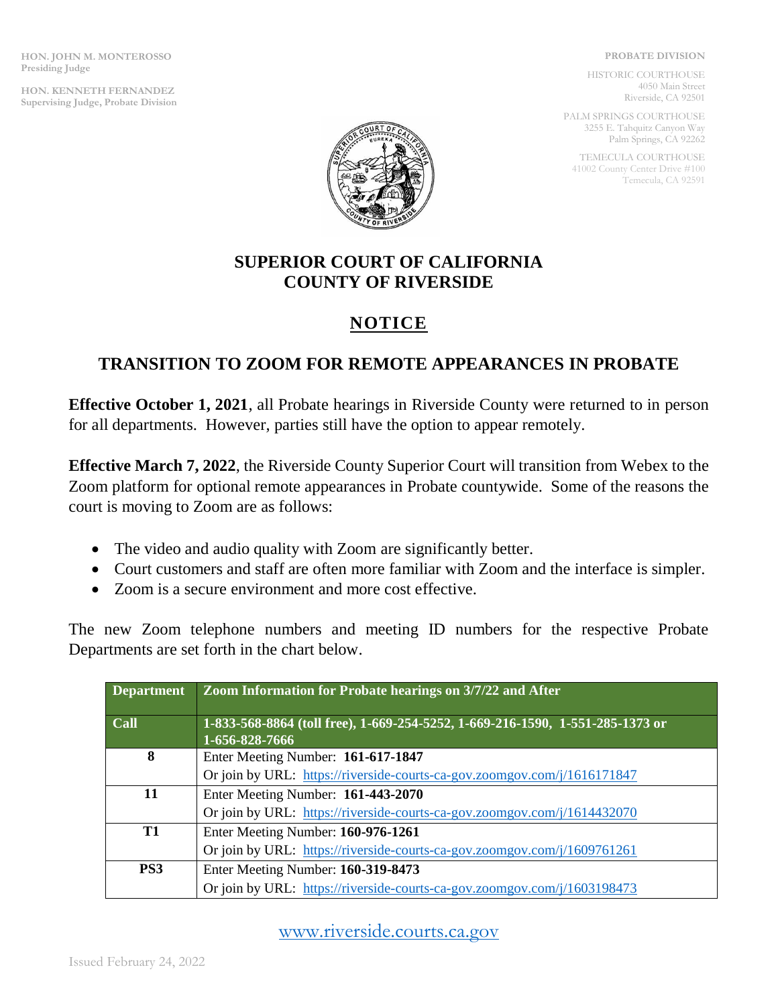**HON. JOHN M. MONTEROSSO Presiding Judge**

**HON. KENNETH FERNANDEZ Supervising Judge, Probate Division**

## **PROBATE DIVISION**

HISTORIC COURTHOUSE 4050 Main Street Riverside, CA 92501

PALM SPRINGS COURTHOUSE 3255 E. Tahquitz Canyon Way Palm Springs, CA 92262

TEMECULA COURTHOUSE 41002 County Center Drive #100 Temecula, CA 92591



## **SUPERIOR COURT OF CALIFORNIA COUNTY OF RIVERSIDE**

## **NOTICE**

## **TRANSITION TO ZOOM FOR REMOTE APPEARANCES IN PROBATE**

**Effective October 1, 2021**, all Probate hearings in Riverside County were returned to in person for all departments. However, parties still have the option to appear remotely.

**Effective March 7, 2022**, the Riverside County Superior Court will transition from Webex to the Zoom platform for optional remote appearances in Probate countywide. Some of the reasons the court is moving to Zoom are as follows:

- The video and audio quality with Zoom are significantly better.
- Court customers and staff are often more familiar with Zoom and the interface is simpler.
- Zoom is a secure environment and more cost effective.

The new Zoom telephone numbers and meeting ID numbers for the respective Probate Departments are set forth in the chart below.

| <b>Department</b> | Zoom Information for Probate hearings on 3/7/22 and After                                       |
|-------------------|-------------------------------------------------------------------------------------------------|
| Call              | 1-833-568-8864 (toll free), 1-669-254-5252, 1-669-216-1590, 1-551-285-1373 or<br>1-656-828-7666 |
| 8                 | Enter Meeting Number: 161-617-1847                                                              |
|                   | Or join by URL: https://riverside-courts-ca-gov.zoomgov.com/j/1616171847                        |
| 11                | Enter Meeting Number: 161-443-2070                                                              |
|                   | Or join by URL: https://riverside-courts-ca-gov.zoomgov.com/j/1614432070                        |
| T1                | Enter Meeting Number: 160-976-1261                                                              |
|                   | Or join by URL: https://riverside-courts-ca-gov.zoomgov.com/j/1609761261                        |
| PS3               | Enter Meeting Number: 160-319-8473                                                              |
|                   | Or join by URL: https://riverside-courts-ca-gov.zoomgov.com/j/1603198473                        |

[www.riverside.courts.ca.gov](http://www.riverside.courts.ca.gov/)